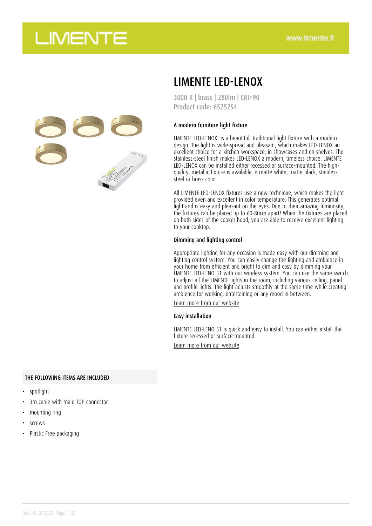

## LIMENTE LED-LENOX

3000 K | brass | 280lm | CRI>90 Product code: 65252S4

### A modern furniture light fixture

LIMENTE LED-LENOX is a beautiful, traditional light fixture with a modern design. The light is wide-spread and pleasant, which makes LED-LENOX an excellent choice for a kitchen workspace, in showcases and on shelves. The stainless-steel finish makes LED-LENOX a modern, timeless choice. LIMENTE LED-LENOX can be installed either recessed or surface-mounted. The highquality, metallic fixture is available in matte white, matte black, stainless steel or brass color

All LIMENTE LED-LENOX fixtures use a new technique, which makes the light provided even and excellent in color temperature. This generates optimal light and is easy and pleasant on the eyes. Due to their amazing luminosity, the fixtures can be placed up to 60-80cm apart! When the fixtures are placed on both sides of the cooker hood, you are able to receive excellent lighting to your cooktop.

#### Dimming and lighting control

Appropriate lighting for any occasion is made easy with our dimming and lighting control system. You can easily change the lighting and ambience in your home from efficient and bright to dim and cosy by dimming your LIMENTE LED-LENO 51 with our wireless system. You can use the same switch to adjust all the LIMENTE lights in the room, including various ceiling, panel and profile lights. The light adjusts smoothly at the same time while creating ambience for working, entertaining or any mood in between.

[Learn more from our website](https://www.limente.fi/tuotteet/65252S4)

#### Easy installation

LIMENTE LED-LENO 51 is quick and easy to install. You can either install the fixture recessed or surface-mounted.

[Learn more from our website](https://www.limente.fi/tuotteet/65252S4)

#### THE FOLLOWING ITEMS ARE INCLUDED

- spotlight
- 3m cable with male TOP connector
- mounting ring
- screws
- Plastic Free packaging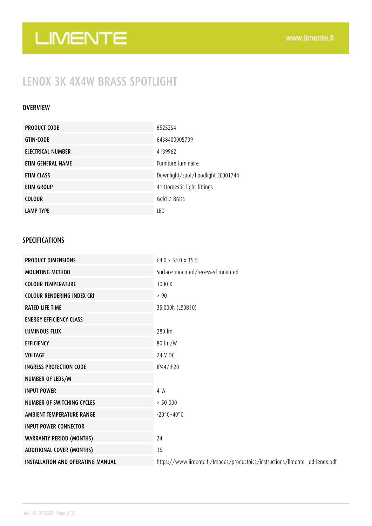## LENOX 3K 4X4W BRASS SPOTLIGHT

### OVERVIEW

| <b>PRODUCT CODE</b> | 6525254                            |
|---------------------|------------------------------------|
| <b>GTIN-CODE</b>    | 6438400005709                      |
| ELECTRICAL NUMBER   | 4139962                            |
| ETIM GENERAL NAME   | <b>Furniture luminaire</b>         |
| ETIM CLASS          | Downlight/spot/floodlight EC001744 |
| ETIM GROUP          | 41 Domestic light fittings         |
| <b>COLOUR</b>       | Gold / Brass                       |
| <b>LAMP TYPE</b>    | LED                                |

### SPECIFICATIONS

| <b>PRODUCT DIMENSIONS</b>                | 64.0 x 64.0 x 15.5                                                           |
|------------------------------------------|------------------------------------------------------------------------------|
| <b>MOUNTING METHOD</b>                   | Surface mounted/recessed mounted                                             |
| <b>COLOUR TEMPERATURE</b>                | 3000 K                                                                       |
| <b>COLOUR RENDERING INDEX CRI</b>        | > 90                                                                         |
| <b>RATED LIFE TIME</b>                   | 35.000h (L80B10)                                                             |
| <b>ENERGY EFFICIENCY CLASS</b>           |                                                                              |
| <b>LUMINOUS FLUX</b>                     | 280 lm                                                                       |
| <b>EFFICIENCY</b>                        | $80 \text{ Im}/W$                                                            |
| <b>VOLTAGE</b>                           | 24 V DC                                                                      |
| <b>INGRESS PROTECTION CODE</b>           | IP44/IP20                                                                    |
| NUMBER OF LEDS/M                         |                                                                              |
| <b>INPUT POWER</b>                       | 4 W                                                                          |
| <b>NUMBER OF SWITCHING CYCLES</b>        | > 50000                                                                      |
| AMBIENT TEMPERATURE RANGE                | $-20^{\circ}$ C $-40^{\circ}$ C                                              |
| <b>INPUT POWER CONNECTOR</b>             |                                                                              |
| <b>WARRANTY PERIOD (MONTHS)</b>          | 24                                                                           |
| <b>ADDITIONAL COVER (MONTHS)</b>         | 36                                                                           |
| <b>INSTALLATION AND OPERATING MANUAL</b> | https://www.limente.fi/Images/productpics/instructions/limente_led-lenox.pdf |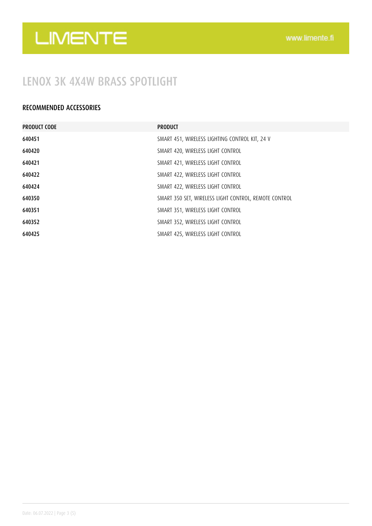### LENOX 3K 4X4W BRASS SPOTLIGHT

### RECOMMENDED ACCESSORIES

| <b>PRODUCT CODE</b> | <b>PRODUCT</b>                                        |
|---------------------|-------------------------------------------------------|
| 640451              | SMART 451, WIRELESS LIGHTING CONTROL KIT, 24 V        |
| 640420              | SMART 420, WIRELESS LIGHT CONTROL                     |
| 640421              | SMART 421, WIRELESS LIGHT CONTROL                     |
| 640422              | SMART 422, WIRELESS LIGHT CONTROL                     |
| 640424              | SMART 422, WIRELESS LIGHT CONTROL                     |
| 640350              | SMART 350 SET, WIRELESS LIGHT CONTROL, REMOTE CONTROL |
| 640351              | SMART 351, WIRELESS LIGHT CONTROL                     |
| 640352              | SMART 352, WIRELESS LIGHT CONTROL                     |
| 640425              | SMART 425, WIRELESS LIGHT CONTROL                     |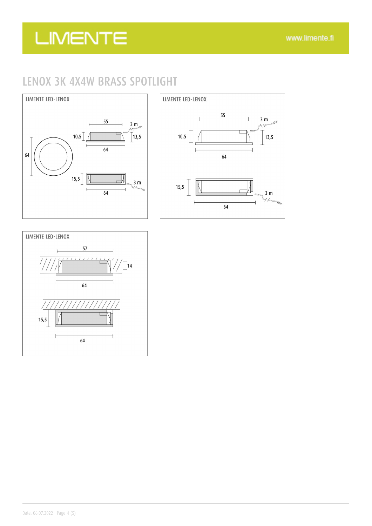## LENOX 3K 4X4W BRASS SPOTLIGHT